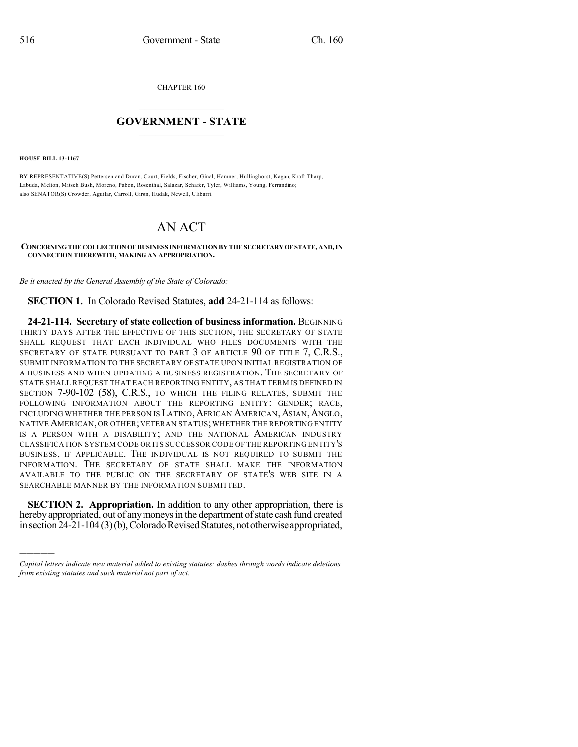CHAPTER 160

## $\mathcal{L}_\text{max}$  . The set of the set of the set of the set of the set of the set of the set of the set of the set of the set of the set of the set of the set of the set of the set of the set of the set of the set of the set **GOVERNMENT - STATE**  $\_$   $\_$

**HOUSE BILL 13-1167**

)))))

BY REPRESENTATIVE(S) Pettersen and Duran, Court, Fields, Fischer, Ginal, Hamner, Hullinghorst, Kagan, Kraft-Tharp, Labuda, Melton, Mitsch Bush, Moreno, Pabon, Rosenthal, Salazar, Schafer, Tyler, Williams, Young, Ferrandino; also SENATOR(S) Crowder, Aguilar, Carroll, Giron, Hudak, Newell, Ulibarri.

## AN ACT

## **CONCERNINGTHE COLLECTIONOF BUSINESS INFORMATION BY THE SECRETARYOF STATE,AND,IN CONNECTION THEREWITH, MAKING AN APPROPRIATION.**

*Be it enacted by the General Assembly of the State of Colorado:*

**SECTION 1.** In Colorado Revised Statutes, **add** 24-21-114 as follows:

**24-21-114. Secretary of state collection of business information.** BEGINNING THIRTY DAYS AFTER THE EFFECTIVE OF THIS SECTION, THE SECRETARY OF STATE SHALL REQUEST THAT EACH INDIVIDUAL WHO FILES DOCUMENTS WITH THE SECRETARY OF STATE PURSUANT TO PART 3 OF ARTICLE 90 OF TITLE 7, C.R.S., SUBMIT INFORMATION TO THE SECRETARY OF STATE UPON INITIAL REGISTRATION OF A BUSINESS AND WHEN UPDATING A BUSINESS REGISTRATION. THE SECRETARY OF STATE SHALL REQUEST THAT EACH REPORTING ENTITY, AS THAT TERM IS DEFINED IN SECTION 7-90-102 (58), C.R.S., TO WHICH THE FILING RELATES, SUBMIT THE FOLLOWING INFORMATION ABOUT THE REPORTING ENTITY: GENDER; RACE, INCLUDING WHETHER THE PERSON IS LATINO, AFRICAN AMERICAN, ASIAN, ANGLO, NATIVE AMERICAN, OR OTHER; VETERAN STATUS; WHETHER THE REPORTING ENTITY IS A PERSON WITH A DISABILITY; AND THE NATIONAL AMERICAN INDUSTRY CLASSIFICATION SYSTEM CODE OR ITS SUCCESSOR CODE OF THE REPORTING ENTITY'S BUSINESS, IF APPLICABLE. THE INDIVIDUAL IS NOT REQUIRED TO SUBMIT THE INFORMATION. THE SECRETARY OF STATE SHALL MAKE THE INFORMATION AVAILABLE TO THE PUBLIC ON THE SECRETARY OF STATE'S WEB SITE IN A SEARCHABLE MANNER BY THE INFORMATION SUBMITTED.

**SECTION 2. Appropriation.** In addition to any other appropriation, there is hereby appropriated, out of any moneys in the department of state cash fund created in section 24-21-104 (3)(b), Colorado Revised Statutes, not otherwise appropriated,

*Capital letters indicate new material added to existing statutes; dashes through words indicate deletions from existing statutes and such material not part of act.*